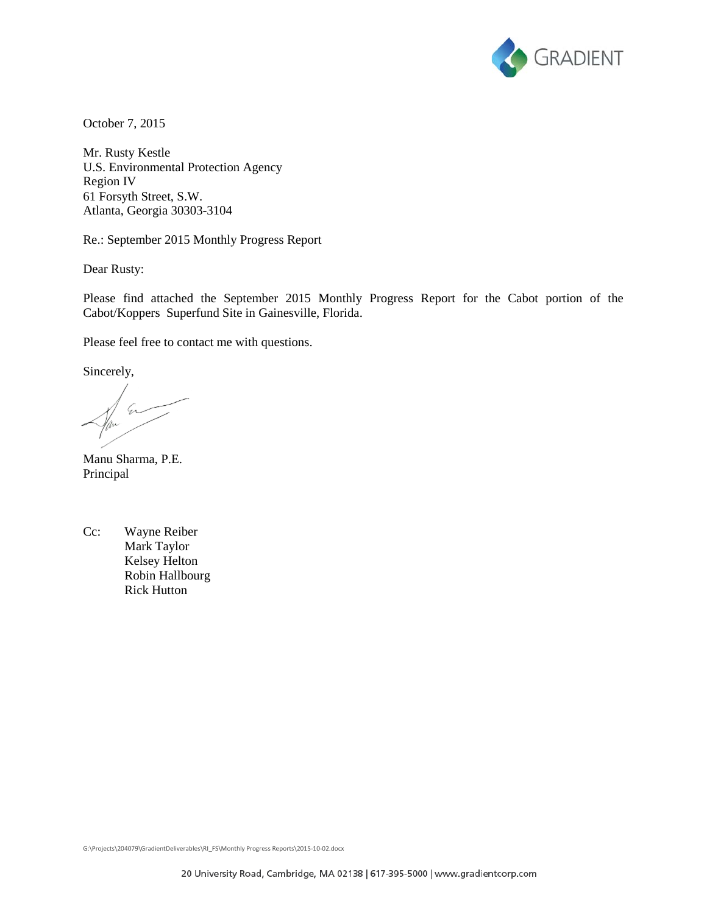

October 7, 2015

Mr. Rusty Kestle U.S. Environmental Protection Agency Region IV 61 Forsyth Street, S.W. Atlanta, Georgia 30303-3104

Re.: September 2015 Monthly Progress Report

Dear Rusty:

Please find attached the September 2015 Monthly Progress Report for the Cabot portion of the Cabot/Koppers Superfund Site in Gainesville, Florida.

Please feel free to contact me with questions.

Sincerely,

 $\mathcal{L}$ 

Manu Sharma, P.E. Principal

Cc: Wayne Reiber Mark Taylor Kelsey Helton Robin Hallbourg Rick Hutton

G:\Projects\204079\GradientDeliverables\RI\_FS\Monthly Progress Reports\2015-10-02.docx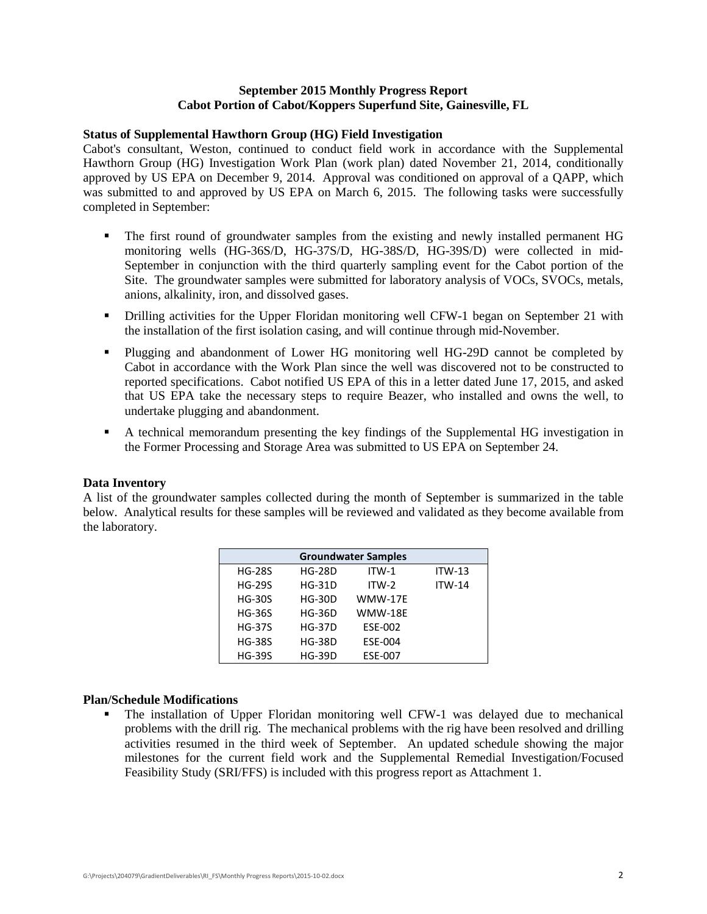# **September 2015 Monthly Progress Report Cabot Portion of Cabot/Koppers Superfund Site, Gainesville, FL**

# **Status of Supplemental Hawthorn Group (HG) Field Investigation**

Cabot's consultant, Weston, continued to conduct field work in accordance with the Supplemental Hawthorn Group (HG) Investigation Work Plan (work plan) dated November 21, 2014, conditionally approved by US EPA on December 9, 2014. Approval was conditioned on approval of a QAPP, which was submitted to and approved by US EPA on March 6, 2015. The following tasks were successfully completed in September:

- The first round of groundwater samples from the existing and newly installed permanent HG monitoring wells (HG-36S/D, HG-37S/D, HG-38S/D, HG-39S/D) were collected in mid-September in conjunction with the third quarterly sampling event for the Cabot portion of the Site. The groundwater samples were submitted for laboratory analysis of VOCs, SVOCs, metals, anions, alkalinity, iron, and dissolved gases.
- Drilling activities for the Upper Floridan monitoring well CFW-1 began on September 21 with the installation of the first isolation casing, and will continue through mid-November.
- Plugging and abandonment of Lower HG monitoring well HG-29D cannot be completed by Cabot in accordance with the Work Plan since the well was discovered not to be constructed to reported specifications. Cabot notified US EPA of this in a letter dated June 17, 2015, and asked that US EPA take the necessary steps to require Beazer, who installed and owns the well, to undertake plugging and abandonment.
- A technical memorandum presenting the key findings of the Supplemental HG investigation in the Former Processing and Storage Area was submitted to US EPA on September 24.

### **Data Inventory**

A list of the groundwater samples collected during the month of September is summarized in the table below. Analytical results for these samples will be reviewed and validated as they become available from the laboratory.

| <b>Groundwater Samples</b> |               |                |          |  |  |  |  |  |  |  |  |
|----------------------------|---------------|----------------|----------|--|--|--|--|--|--|--|--|
| <b>HG-28S</b>              | <b>HG-28D</b> | $ITW-1$        | $ITW-13$ |  |  |  |  |  |  |  |  |
| <b>HG-29S</b>              | <b>HG-31D</b> | $ITW-2$        | $ITW-14$ |  |  |  |  |  |  |  |  |
| $HG-30S$                   | $HG-30D$      | WMW-17F        |          |  |  |  |  |  |  |  |  |
| <b>HG-36S</b>              | <b>HG-36D</b> | <b>WMW-18E</b> |          |  |  |  |  |  |  |  |  |
| <b>HG-37S</b>              | <b>HG-37D</b> | ESE-002        |          |  |  |  |  |  |  |  |  |
| <b>HG-38S</b>              | <b>HG-38D</b> | <b>ESE-004</b> |          |  |  |  |  |  |  |  |  |
| <b>HG-39S</b>              | <b>HG-39D</b> | <b>ESE-007</b> |          |  |  |  |  |  |  |  |  |

### **Plan/Schedule Modifications**

 The installation of Upper Floridan monitoring well CFW-1 was delayed due to mechanical problems with the drill rig. The mechanical problems with the rig have been resolved and drilling activities resumed in the third week of September. An updated schedule showing the major milestones for the current field work and the Supplemental Remedial Investigation/Focused Feasibility Study (SRI/FFS) is included with this progress report as Attachment 1.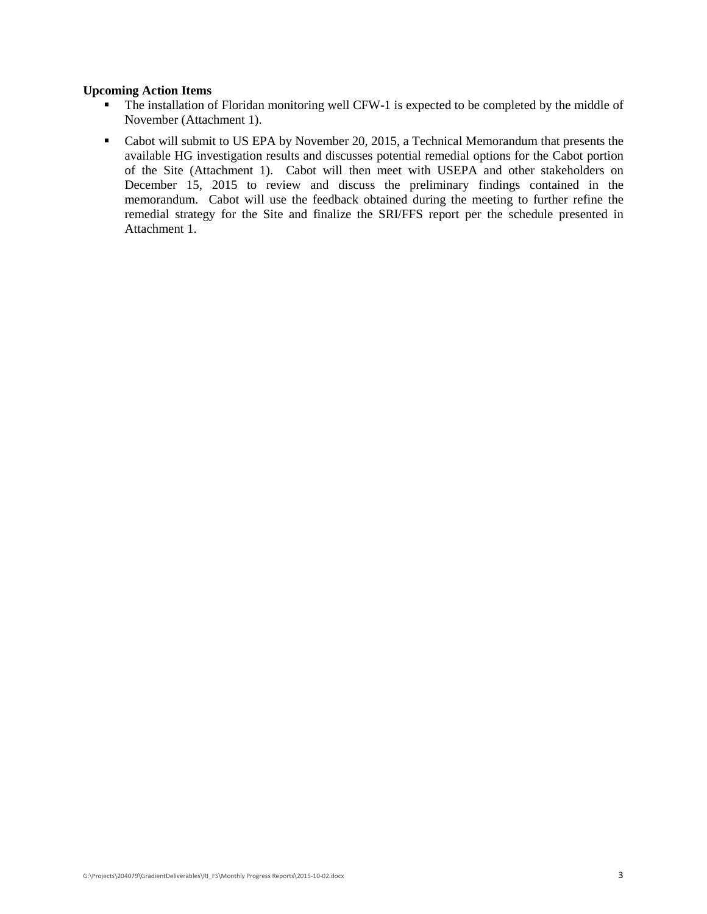# **Upcoming Action Items**

- The installation of Floridan monitoring well CFW-1 is expected to be completed by the middle of November (Attachment 1).
- Cabot will submit to US EPA by November 20, 2015, a Technical Memorandum that presents the available HG investigation results and discusses potential remedial options for the Cabot portion of the Site (Attachment 1). Cabot will then meet with USEPA and other stakeholders on December 15, 2015 to review and discuss the preliminary findings contained in the memorandum. Cabot will use the feedback obtained during the meeting to further refine the remedial strategy for the Site and finalize the SRI/FFS report per the schedule presented in Attachment 1.